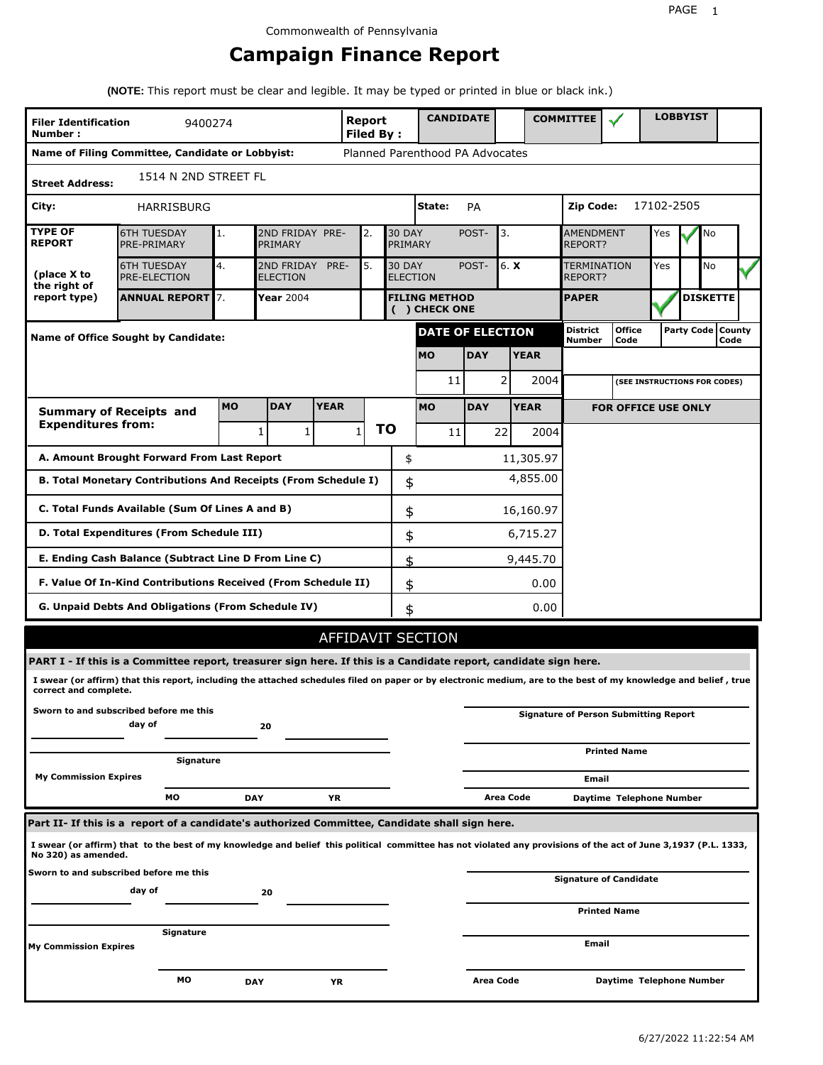# **Campaign Finance Report**

**(NOTE:** This report must be clear and legible. It may be typed or printed in blue or black ink.)

| <b>Filer Identification</b><br>Number:                                           | <b>Report</b><br>Filed By:                                                                                                                                      |            |                               | <b>CANDIDATE</b> |              |    |                                                   | <b>COMMITTEE</b>                      |            |           | <b>LOBBYIST</b>               |                                    |                                              |            |  |                             |  |
|----------------------------------------------------------------------------------|-----------------------------------------------------------------------------------------------------------------------------------------------------------------|------------|-------------------------------|------------------|--------------|----|---------------------------------------------------|---------------------------------------|------------|-----------|-------------------------------|------------------------------------|----------------------------------------------|------------|--|-----------------------------|--|
|                                                                                  | Name of Filing Committee, Candidate or Lobbyist:                                                                                                                |            |                               |                  |              |    |                                                   | Planned Parenthood PA Advocates       |            |           |                               |                                    |                                              |            |  |                             |  |
| <b>Street Address:</b>                                                           | 1514 N 2ND STREET FL                                                                                                                                            |            |                               |                  |              |    |                                                   |                                       |            |           |                               |                                    |                                              |            |  |                             |  |
| City:                                                                            | HARRISBURG                                                                                                                                                      |            |                               |                  |              |    |                                                   | State:                                | PA         |           |                               | Zip Code:                          |                                              | 17102-2505 |  |                             |  |
| <b>TYPE OF</b><br><b>REPORT</b>                                                  | <b>6TH TUESDAY</b><br>PRE-PRIMARY                                                                                                                               | 1.         | 2ND FRIDAY PRE-<br>PRIMARY    |                  | 2.           |    | <b>30 DAY</b><br>PRIMARY                          |                                       | POST-      | 3.        |                               | <b>AMENDMENT</b><br><b>REPORT?</b> |                                              | Yes        |  | No                          |  |
| (place X to<br>the right of                                                      | <b>6TH TUESDAY</b><br><b>PRE-ELECTION</b>                                                                                                                       | 4.         | 2ND FRIDAY<br><b>ELECTION</b> | PRE-             | 5.           |    | 6. X<br><b>30 DAY</b><br>POST-<br><b>ELECTION</b> |                                       |            |           | <b>TERMINATION</b><br>REPORT? | Yes                                |                                              | No         |  |                             |  |
| report type)                                                                     | <b>ANNUAL REPORT</b> 7.                                                                                                                                         |            | Year 2004                     |                  |              |    |                                                   | <b>FILING METHOD</b><br>( ) CHECK ONE |            |           |                               | <b>PAPER</b>                       |                                              |            |  | <b>DISKETTE</b>             |  |
|                                                                                  | Name of Office Sought by Candidate:                                                                                                                             |            |                               |                  |              |    |                                                   | <b>DATE OF ELECTION</b>               |            |           |                               | <b>District</b><br>Number          | <b>Office</b><br>Code                        |            |  | Party Code   County<br>Code |  |
|                                                                                  |                                                                                                                                                                 |            |                               |                  |              |    |                                                   | <b>MO</b>                             | <b>DAY</b> |           | <b>YEAR</b>                   |                                    |                                              |            |  |                             |  |
|                                                                                  |                                                                                                                                                                 |            |                               |                  |              |    |                                                   | 11                                    |            | 2         | 2004                          |                                    | (SEE INSTRUCTIONS FOR CODES)                 |            |  |                             |  |
|                                                                                  | <b>Summary of Receipts and</b>                                                                                                                                  | <b>MO</b>  | <b>DAY</b>                    | <b>YEAR</b>      |              |    |                                                   | <b>MO</b>                             | <b>DAY</b> |           | <b>YEAR</b>                   |                                    | <b>FOR OFFICE USE ONLY</b>                   |            |  |                             |  |
| <b>Expenditures from:</b>                                                        |                                                                                                                                                                 |            | 1<br>1                        |                  | $\mathbf{1}$ | ΤO |                                                   | 11                                    |            | 22        | 2004                          |                                    |                                              |            |  |                             |  |
|                                                                                  | A. Amount Brought Forward From Last Report                                                                                                                      |            |                               |                  |              |    | \$                                                |                                       |            |           | 11,305.97                     |                                    |                                              |            |  |                             |  |
| 4,855.00<br>B. Total Monetary Contributions And Receipts (From Schedule I)<br>\$ |                                                                                                                                                                 |            |                               |                  |              |    |                                                   |                                       |            |           |                               |                                    |                                              |            |  |                             |  |
| C. Total Funds Available (Sum Of Lines A and B)<br>\$<br>16,160.97               |                                                                                                                                                                 |            |                               |                  |              |    |                                                   |                                       |            |           |                               |                                    |                                              |            |  |                             |  |
|                                                                                  | D. Total Expenditures (From Schedule III)<br>\$<br>6,715.27                                                                                                     |            |                               |                  |              |    |                                                   |                                       |            |           |                               |                                    |                                              |            |  |                             |  |
|                                                                                  | E. Ending Cash Balance (Subtract Line D From Line C)                                                                                                            |            |                               |                  |              |    | \$                                                |                                       |            |           | 9,445.70                      |                                    |                                              |            |  |                             |  |
|                                                                                  | F. Value Of In-Kind Contributions Received (From Schedule II)                                                                                                   |            |                               |                  |              |    | \$                                                |                                       |            |           | 0.00                          |                                    |                                              |            |  |                             |  |
|                                                                                  | G. Unpaid Debts And Obligations (From Schedule IV)                                                                                                              |            |                               |                  |              |    | \$                                                |                                       |            |           | 0.00                          |                                    |                                              |            |  |                             |  |
|                                                                                  |                                                                                                                                                                 |            |                               |                  |              |    |                                                   | AFFIDAVIT SECTION                     |            |           |                               |                                    |                                              |            |  |                             |  |
|                                                                                  | PART I - If this is a Committee report, treasurer sign here. If this is a Candidate report, candidate sign here.                                                |            |                               |                  |              |    |                                                   |                                       |            |           |                               |                                    |                                              |            |  |                             |  |
| correct and complete.                                                            | I swear (or affirm) that this report, including the attached schedules filed on paper or by electronic medium, are to the best of my knowledge and belief, true |            |                               |                  |              |    |                                                   |                                       |            |           |                               |                                    |                                              |            |  |                             |  |
|                                                                                  | Sworn to and subscribed before me this<br>day of                                                                                                                |            | 20                            |                  |              |    |                                                   |                                       |            |           |                               |                                    | <b>Signature of Person Submitting Report</b> |            |  |                             |  |
|                                                                                  | Signature                                                                                                                                                       |            |                               |                  |              |    |                                                   |                                       |            |           |                               |                                    | <b>Printed Name</b>                          |            |  |                             |  |
| <b>My Commission Expires</b>                                                     |                                                                                                                                                                 |            |                               |                  |              |    |                                                   |                                       |            |           |                               | Email                              |                                              |            |  |                             |  |
|                                                                                  | МO                                                                                                                                                              | <b>DAY</b> |                               | YR               |              |    |                                                   |                                       |            | Area Code |                               |                                    | Daytime Telephone Number                     |            |  |                             |  |
|                                                                                  | Part II- If this is a report of a candidate's authorized Committee, Candidate shall sign here.                                                                  |            |                               |                  |              |    |                                                   |                                       |            |           |                               |                                    |                                              |            |  |                             |  |
| No 320) as amended.                                                              | I swear (or affirm) that to the best of my knowledge and belief this political committee has not violated any provisions of the act of June 3,1937 (P.L. 1333,  |            |                               |                  |              |    |                                                   |                                       |            |           |                               |                                    |                                              |            |  |                             |  |
|                                                                                  | Sworn to and subscribed before me this<br>day of                                                                                                                |            |                               |                  |              |    |                                                   |                                       |            |           |                               |                                    | <b>Signature of Candidate</b>                |            |  |                             |  |
|                                                                                  |                                                                                                                                                                 |            | 20                            |                  |              |    |                                                   |                                       |            |           |                               |                                    | <b>Printed Name</b>                          |            |  |                             |  |
| My Commission Expires                                                            | Signature                                                                                                                                                       |            |                               |                  |              |    |                                                   |                                       |            |           |                               | Email                              |                                              |            |  |                             |  |
|                                                                                  |                                                                                                                                                                 |            |                               |                  |              |    |                                                   |                                       |            |           |                               |                                    |                                              |            |  |                             |  |
|                                                                                  | МO                                                                                                                                                              | DAY        |                               | ΥR               |              |    |                                                   |                                       | Area Code  |           |                               |                                    | Daytime Telephone Number                     |            |  |                             |  |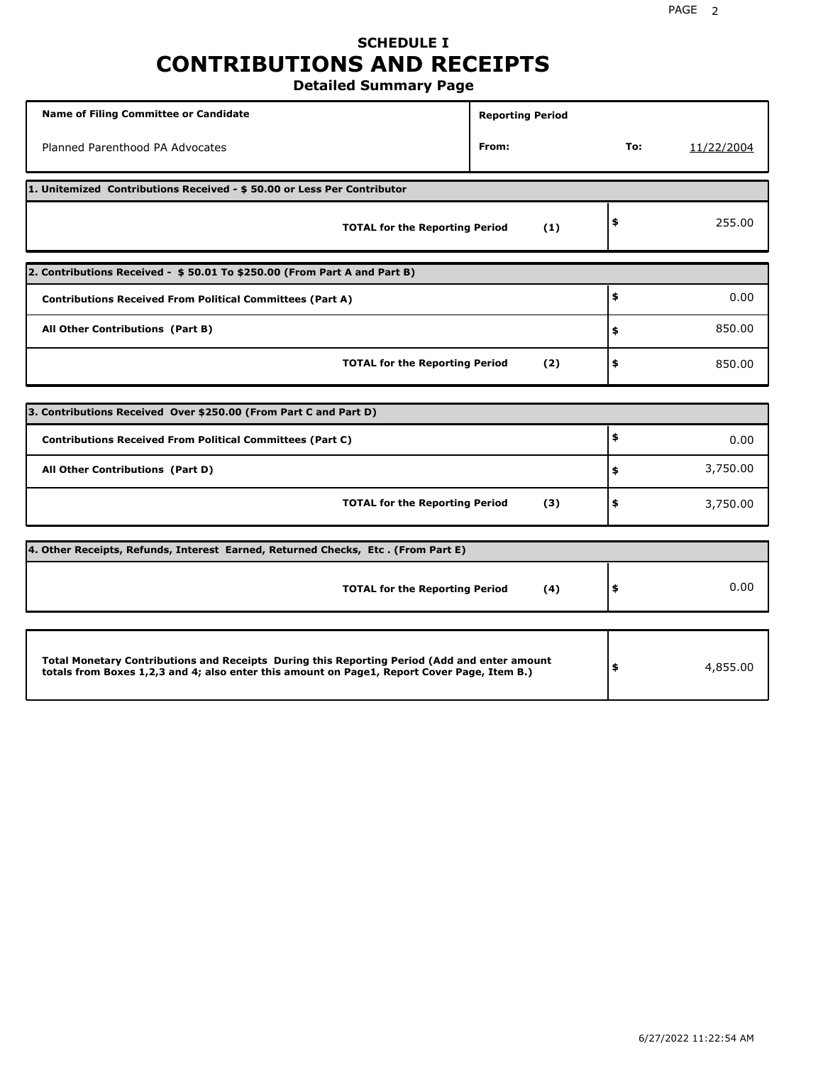# **SCHEDULE I CONTRIBUTIONS AND RECEIPTS**

**Detailed Summary Page**

| Name of Filing Committee or Candidate                                                                                                                                                       | <b>Reporting Period</b> |        |            |
|---------------------------------------------------------------------------------------------------------------------------------------------------------------------------------------------|-------------------------|--------|------------|
| Planned Parenthood PA Advocates                                                                                                                                                             | From:                   | To:    | 11/22/2004 |
| 1. Unitemized Contributions Received - \$50.00 or Less Per Contributor                                                                                                                      |                         |        |            |
| <b>TOTAL for the Reporting Period</b>                                                                                                                                                       | (1)                     | \$     | 255.00     |
| 2. Contributions Received - \$50.01 To \$250.00 (From Part A and Part B)                                                                                                                    |                         |        |            |
| <b>Contributions Received From Political Committees (Part A)</b>                                                                                                                            |                         | \$     | 0.00       |
| All Other Contributions (Part B)                                                                                                                                                            | \$                      | 850.00 |            |
| <b>TOTAL for the Reporting Period</b>                                                                                                                                                       | (2)                     | \$     | 850.00     |
|                                                                                                                                                                                             |                         |        |            |
| 3. Contributions Received Over \$250.00 (From Part C and Part D)                                                                                                                            |                         |        |            |
| <b>Contributions Received From Political Committees (Part C)</b>                                                                                                                            |                         | \$     | 0.00       |
| All Other Contributions (Part D)                                                                                                                                                            |                         | \$     | 3,750.00   |
| <b>TOTAL for the Reporting Period</b>                                                                                                                                                       | (3)                     | \$     | 3,750.00   |
| 4. Other Receipts, Refunds, Interest Earned, Returned Checks, Etc. (From Part E)                                                                                                            |                         |        |            |
| <b>TOTAL for the Reporting Period</b>                                                                                                                                                       | (4)                     | \$     | 0.00       |
|                                                                                                                                                                                             |                         |        |            |
| Total Monetary Contributions and Receipts During this Reporting Period (Add and enter amount<br>totals from Boxes 1,2,3 and 4; also enter this amount on Page1, Report Cover Page, Item B.) |                         | \$     | 4,855.00   |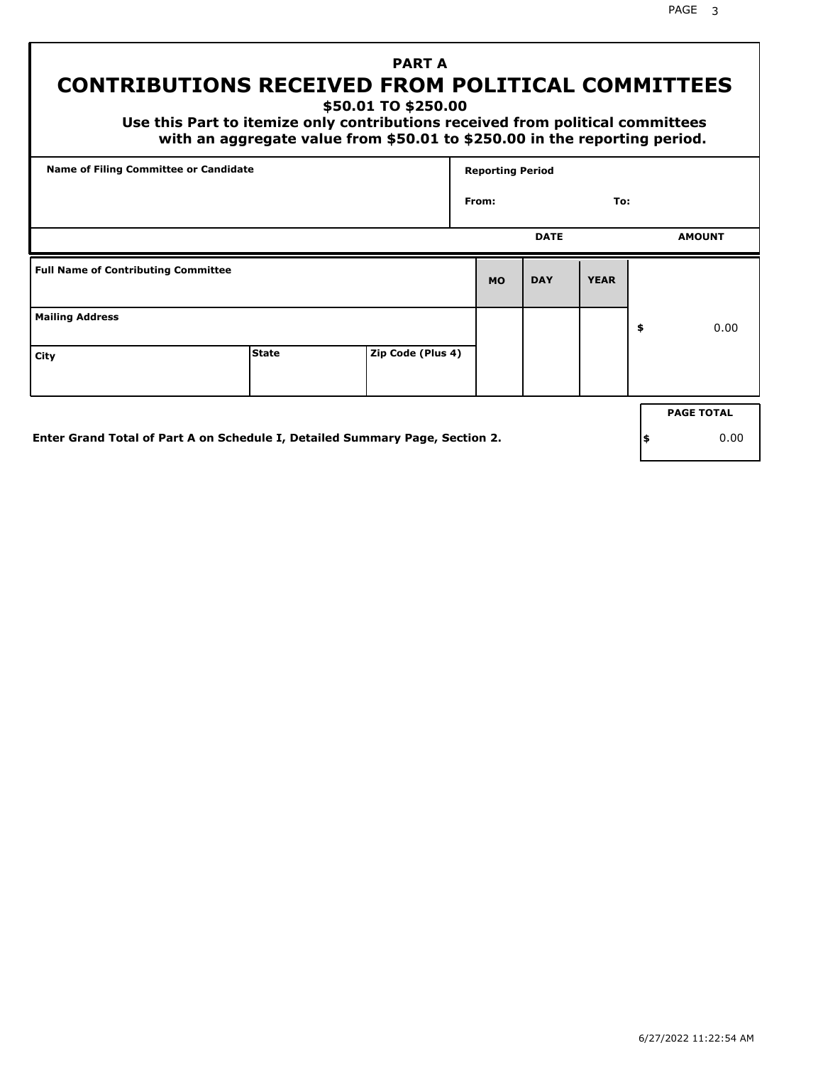# **CONTRIBUTIONS RECEIVED FROM POLITICAL COMMITTEES**

**\$50.01 TO \$250.00**

 **Use this Part to itemize only contributions received from political committees with an aggregate value from \$50.01 to \$250.00 in the reporting period.**

 **PART A**

|                                            | Name of Filing Committee or Candidate |  |           | <b>Reporting Period</b> |             |     |                   |  |  |
|--------------------------------------------|---------------------------------------|--|-----------|-------------------------|-------------|-----|-------------------|--|--|
|                                            | From:                                 |  |           |                         |             | To: |                   |  |  |
|                                            |                                       |  |           | <b>DATE</b>             |             |     | <b>AMOUNT</b>     |  |  |
| <b>Full Name of Contributing Committee</b> |                                       |  | <b>MO</b> | <b>DAY</b>              | <b>YEAR</b> |     |                   |  |  |
| <b>Mailing Address</b>                     |                                       |  |           |                         |             | \$  | 0.00              |  |  |
| City                                       | Zip Code (Plus 4)                     |  |           |                         |             |     |                   |  |  |
|                                            |                                       |  |           |                         |             |     | <b>PAGE TOTAL</b> |  |  |
|                                            |                                       |  |           |                         |             |     |                   |  |  |

**Enter Grand Total of Part A on Schedule I, Detailed Summary Page, Section 2.**

**\$** 0.00

6/27/2022 11:22:54 AM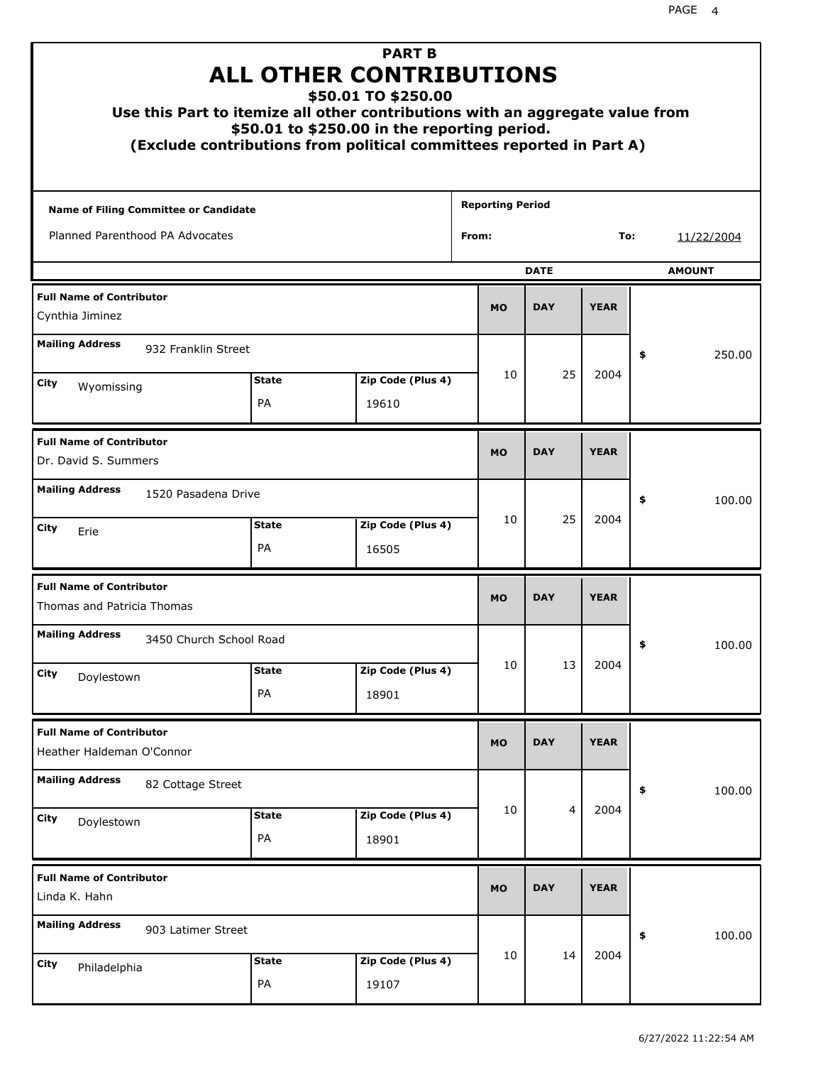| Use this Part to itemize all other contributions with an aggregate value from |                                                  | <b>PART B</b><br><b>ALL OTHER CONTRIBUTIONS</b><br>\$50.01 TO \$250.00<br>\$50.01 to \$250.00 in the reporting period.<br>(Exclude contributions from political committees reported in Part A) |                         |                |             |    |            |
|-------------------------------------------------------------------------------|--------------------------------------------------|------------------------------------------------------------------------------------------------------------------------------------------------------------------------------------------------|-------------------------|----------------|-------------|----|------------|
| Name of Filing Committee or Candidate                                         |                                                  |                                                                                                                                                                                                | <b>Reporting Period</b> |                |             |    |            |
| Planned Parenthood PA Advocates                                               |                                                  |                                                                                                                                                                                                | From:                   |                | To:         |    | 11/22/2004 |
| <b>DATE</b><br><b>AMOUNT</b>                                                  |                                                  |                                                                                                                                                                                                |                         |                |             |    |            |
| <b>Full Name of Contributor</b><br>Cynthia Jiminez                            |                                                  |                                                                                                                                                                                                | <b>MO</b>               | <b>DAY</b>     | <b>YEAR</b> |    |            |
| <b>Mailing Address</b><br>932 Franklin Street                                 |                                                  |                                                                                                                                                                                                |                         |                |             | \$ | 250.00     |
| City<br>Wyomissing                                                            | <b>State</b><br>PA                               | Zip Code (Plus 4)<br>19610                                                                                                                                                                     | 10                      | 25<br>2004     |             |    |            |
|                                                                               |                                                  |                                                                                                                                                                                                |                         |                |             |    |            |
| <b>Full Name of Contributor</b><br>Dr. David S. Summers                       | <b>MO</b>                                        | <b>DAY</b>                                                                                                                                                                                     | <b>YEAR</b>             |                |             |    |            |
| <b>Mailing Address</b><br>1520 Pasadena Drive                                 |                                                  |                                                                                                                                                                                                |                         | 25             |             | \$ | 100.00     |
| City<br>Erie                                                                  | Zip Code (Plus 4)<br><b>State</b><br>PA<br>16505 |                                                                                                                                                                                                |                         |                |             |    |            |
| <b>Full Name of Contributor</b><br>Thomas and Patricia Thomas                 |                                                  |                                                                                                                                                                                                | <b>MO</b>               | <b>DAY</b>     | <b>YEAR</b> |    |            |
| <b>Mailing Address</b><br>3450 Church School Road                             |                                                  |                                                                                                                                                                                                |                         |                |             |    | 100.00     |
| City<br>Doylestown                                                            | <b>State</b><br>PA                               | Zip Code (Plus 4)<br>18901                                                                                                                                                                     | 10                      | 13             | 2004        |    |            |
| <b>Full Name of Contributor</b><br>Heather Haldeman O'Connor                  |                                                  |                                                                                                                                                                                                | <b>MO</b>               | <b>DAY</b>     | <b>YEAR</b> |    |            |
| <b>Mailing Address</b><br>82 Cottage Street                                   |                                                  |                                                                                                                                                                                                |                         |                |             | \$ | 100.00     |
| City<br>Doylestown                                                            | <b>State</b><br>PA                               | Zip Code (Plus 4)<br>18901                                                                                                                                                                     | 10                      | $\overline{4}$ | 2004        |    |            |
| <b>Full Name of Contributor</b><br>Linda K. Hahn                              |                                                  |                                                                                                                                                                                                | <b>MO</b>               | <b>DAY</b>     | <b>YEAR</b> |    |            |
| <b>Mailing Address</b><br>903 Latimer Street                                  |                                                  |                                                                                                                                                                                                |                         |                |             | \$ | 100.00     |
| City<br>Philadelphia                                                          | <b>State</b><br>PA                               | Zip Code (Plus 4)<br>19107                                                                                                                                                                     | 10                      | 14             | 2004        |    |            |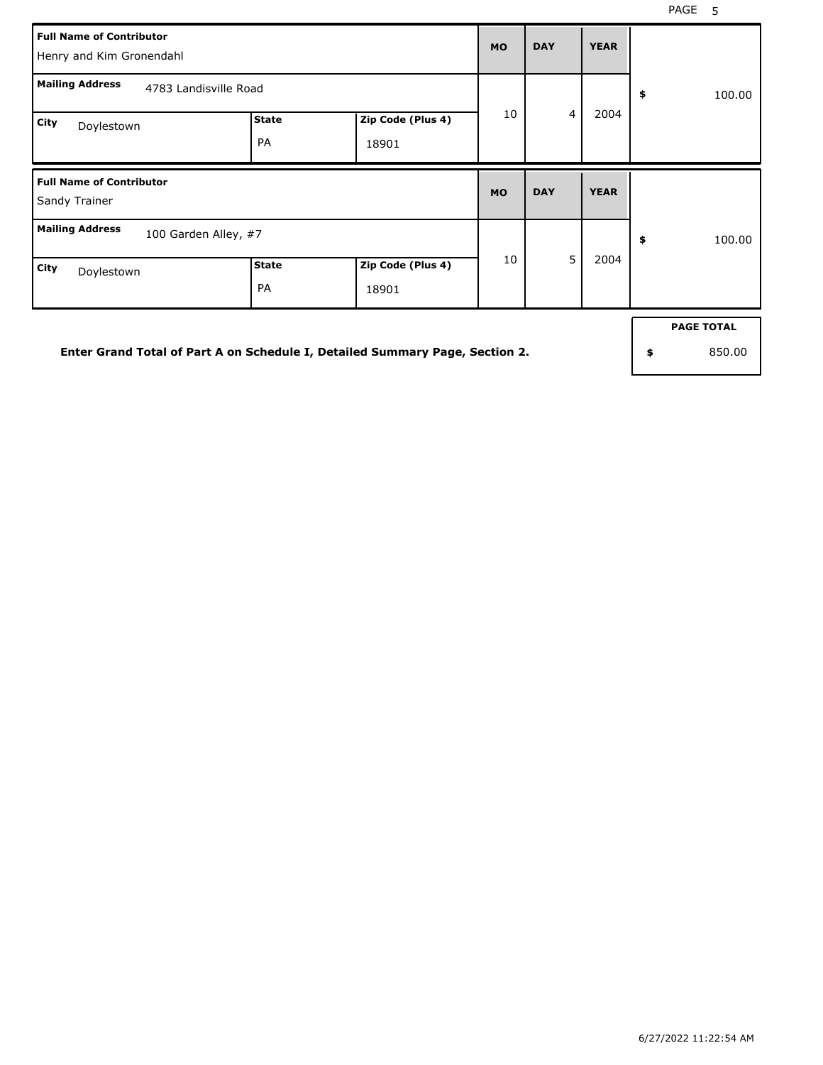٦

| <b>Full Name of Contributor</b><br>Henry and Kim Gronendahl |                       |                            |           |                |             |              |
|-------------------------------------------------------------|-----------------------|----------------------------|-----------|----------------|-------------|--------------|
| <b>Mailing Address</b>                                      | 4783 Landisville Road |                            |           |                |             | \$<br>100.00 |
| City<br>Doylestown                                          | <b>State</b><br>PA    | Zip Code (Plus 4)<br>18901 | 10        | $\overline{4}$ | 2004        |              |
| <b>Full Name of Contributor</b>                             |                       |                            |           |                |             |              |
| Sandy Trainer                                               |                       |                            | <b>MO</b> | <b>DAY</b>     | <b>YEAR</b> |              |
| <b>Mailing Address</b><br>100 Garden Alley, #7              |                       |                            | 10        | 5              | 2004        | \$<br>100.00 |

**Enter Grand Total of Part A on Schedule I, Detailed Summary Page, Section 2.**

**PAGE TOTAL**

**\$** 850.00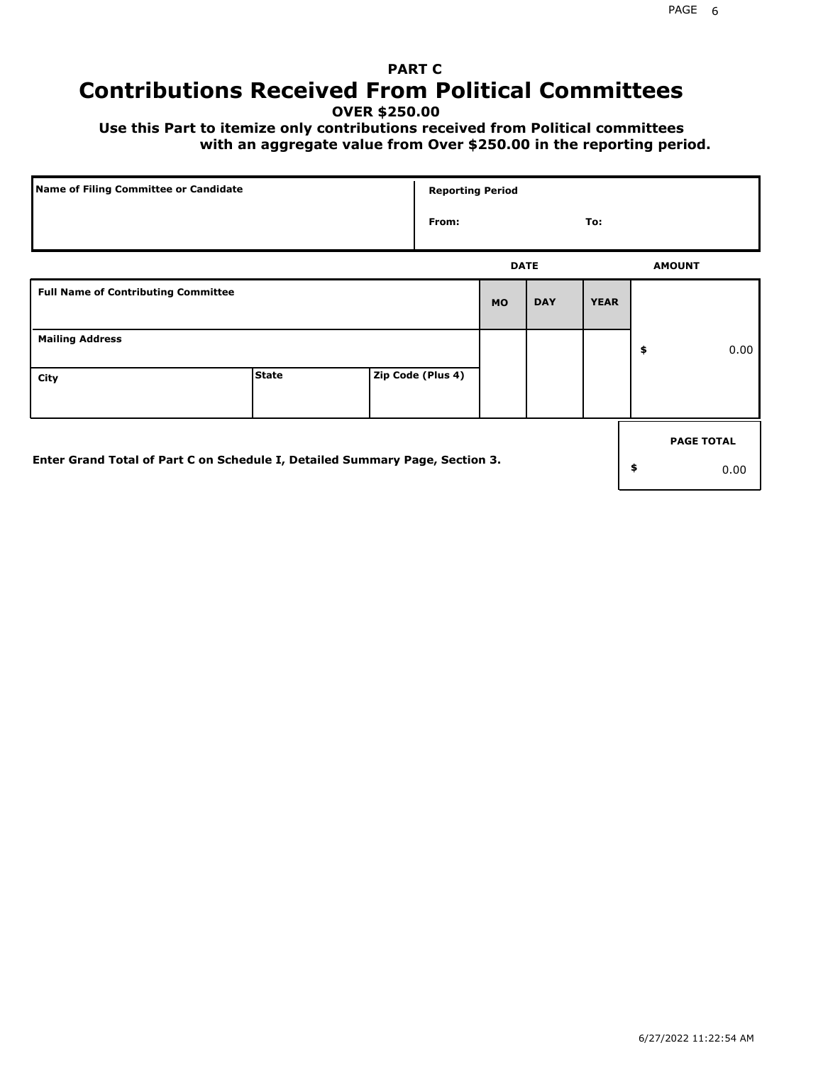# **PART C Contributions Received From Political Committees**

**OVER \$250.00**

 **Use this Part to itemize only contributions received from Political committees with an aggregate value from Over \$250.00 in the reporting period.**

| Name of Filing Committee or Candidate                                        |              |                   | <b>Reporting Period</b> |            |             |                   |
|------------------------------------------------------------------------------|--------------|-------------------|-------------------------|------------|-------------|-------------------|
|                                                                              |              | From:             |                         |            | To:         |                   |
|                                                                              |              |                   | <b>DATE</b>             |            |             | <b>AMOUNT</b>     |
| <b>Full Name of Contributing Committee</b>                                   |              |                   | <b>MO</b>               | <b>DAY</b> | <b>YEAR</b> |                   |
| <b>Mailing Address</b>                                                       |              |                   |                         |            |             | \$<br>0.00        |
| City                                                                         | <b>State</b> | Zip Code (Plus 4) |                         |            |             |                   |
|                                                                              |              |                   |                         |            |             | <b>PAGE TOTAL</b> |
| Enter Grand Total of Part C on Schedule I, Detailed Summary Page, Section 3. |              |                   |                         |            |             | \$<br>0.00        |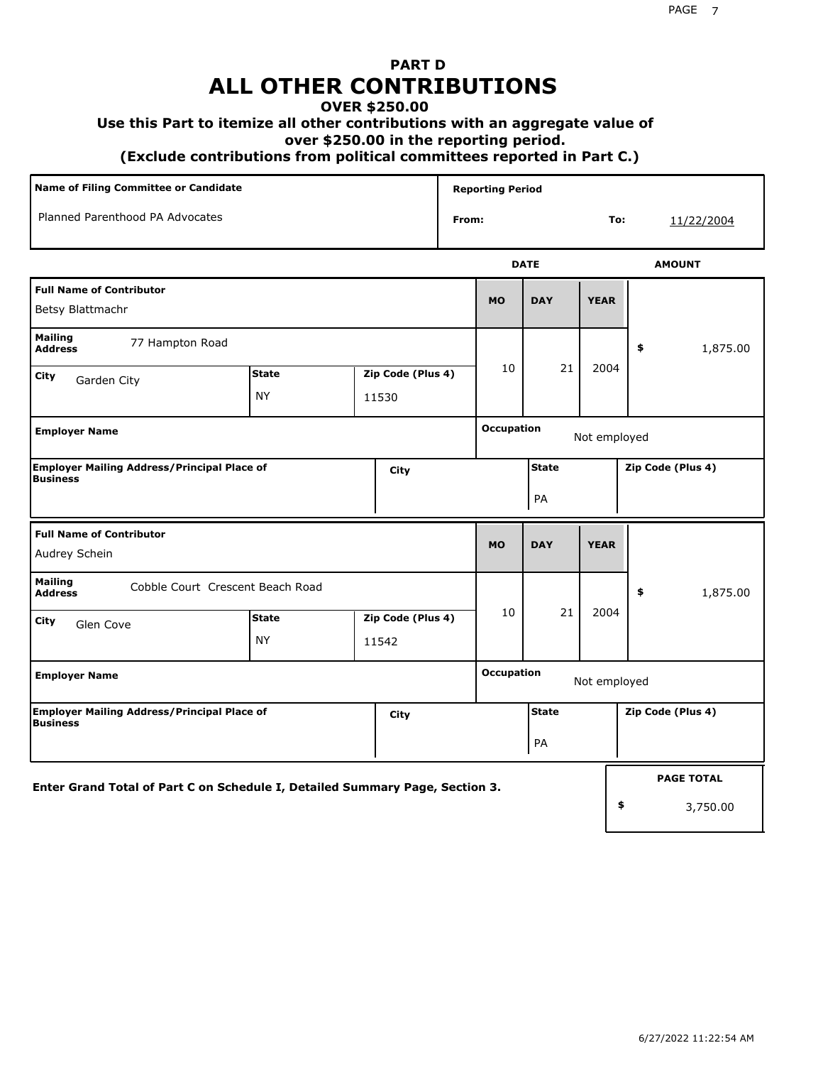# **PART D ALL OTHER CONTRIBUTIONS**

#### **OVER \$250.00**

#### **Use this Part to itemize all other contributions with an aggregate value of**

 **over \$250.00 in the reporting period.**

 **(Exclude contributions from political committees reported in Part C.)** 

| Name of Filing Committee or Candidate                                         |                                                  |       |                   |                    | <b>Reporting Period</b> |                    |                   |    |                   |
|-------------------------------------------------------------------------------|--------------------------------------------------|-------|-------------------|--------------------|-------------------------|--------------------|-------------------|----|-------------------|
| Planned Parenthood PA Advocates                                               |                                                  |       |                   | From:              |                         |                    | To:               |    | 11/22/2004        |
|                                                                               |                                                  |       |                   |                    |                         | <b>DATE</b>        |                   |    | <b>AMOUNT</b>     |
| <b>Full Name of Contributor</b><br>Betsy Blattmachr                           |                                                  |       |                   |                    | <b>MO</b>               | <b>DAY</b>         | <b>YEAR</b>       |    |                   |
| <b>Mailing</b><br>77 Hampton Road<br><b>Address</b>                           |                                                  |       |                   |                    |                         |                    |                   | \$ | 1,875.00          |
| City<br>Garden City                                                           | <b>State</b><br>Zip Code (Plus 4)<br>NY<br>11530 |       |                   | 10                 | 21                      | 2004               |                   |    |                   |
| <b>Employer Name</b>                                                          |                                                  |       |                   |                    | <b>Occupation</b>       |                    |                   |    |                   |
| <b>Employer Mailing Address/Principal Place of</b><br>City<br><b>Business</b> |                                                  |       |                   | <b>State</b><br>PA |                         |                    | Zip Code (Plus 4) |    |                   |
| <b>Full Name of Contributor</b><br>Audrey Schein                              |                                                  |       |                   |                    | <b>MO</b>               | <b>DAY</b>         | <b>YEAR</b>       |    |                   |
| <b>Mailing</b><br>Cobble Court Crescent Beach Road<br><b>Address</b>          |                                                  |       |                   |                    |                         |                    |                   | \$ | 1,875.00          |
| City<br>Glen Cove                                                             | <b>State</b><br><b>NY</b>                        | 11542 | Zip Code (Plus 4) |                    | 10                      | 21                 | 2004              |    |                   |
| <b>Employer Name</b>                                                          |                                                  |       |                   |                    | <b>Occupation</b>       |                    | Not employed      |    |                   |
| Employer Mailing Address/Principal Place of<br><b>Business</b>                |                                                  |       | City              |                    |                         | <b>State</b><br>PA |                   |    | Zip Code (Plus 4) |
| Enter Grand Total of Part C on Schedule I, Detailed Summary Page, Section 3.  |                                                  |       |                   |                    |                         |                    |                   |    | <b>PAGE TOTAL</b> |
|                                                                               |                                                  |       |                   |                    |                         |                    |                   | \$ | 3,750.00          |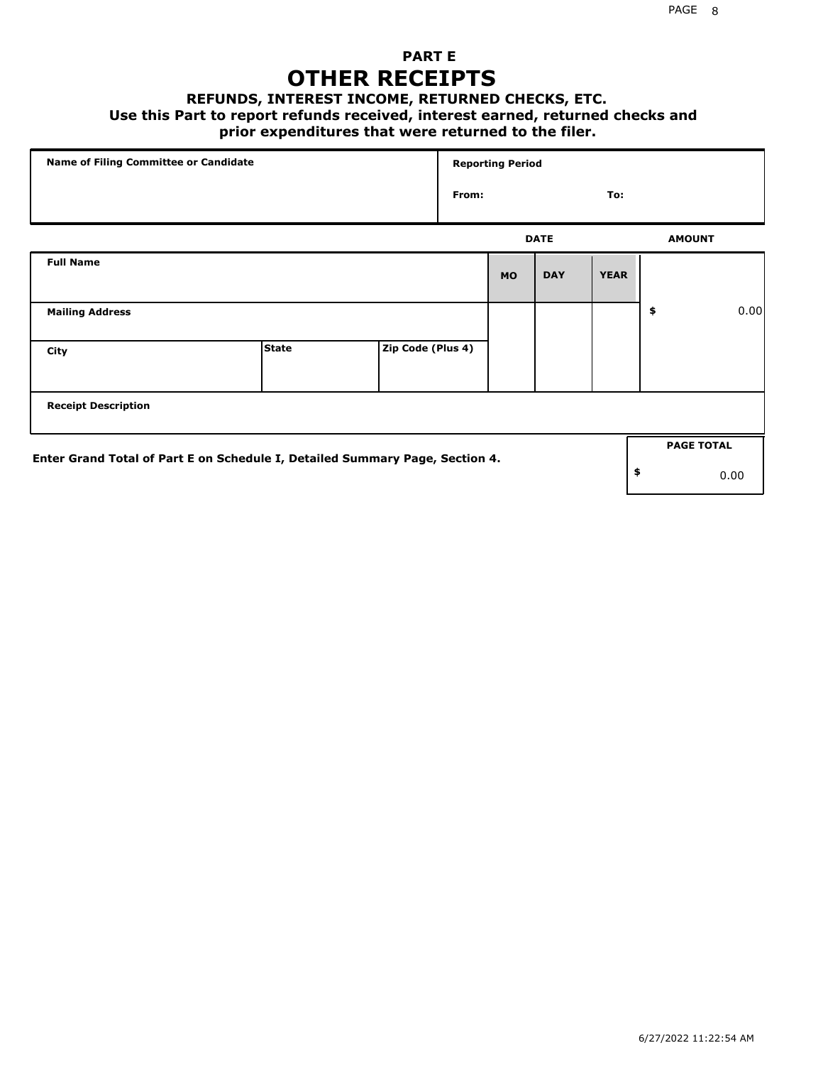### **PART E OTHER RECEIPTS**

#### **REFUNDS, INTEREST INCOME, RETURNED CHECKS, ETC.**

 **Use this Part to report refunds received, interest earned, returned checks and**

### **prior expenditures that were returned to the filer.**

| Name of Filing Committee or Candidate                                        |              |                   |       | <b>Reporting Period</b> |             |             |    |                   |      |
|------------------------------------------------------------------------------|--------------|-------------------|-------|-------------------------|-------------|-------------|----|-------------------|------|
|                                                                              |              |                   | From: |                         |             | To:         |    |                   |      |
|                                                                              |              |                   |       |                         | <b>DATE</b> |             |    | <b>AMOUNT</b>     |      |
| <b>Full Name</b>                                                             |              |                   |       | <b>MO</b>               | <b>DAY</b>  | <b>YEAR</b> |    |                   |      |
| <b>Mailing Address</b>                                                       |              |                   |       |                         |             |             | \$ |                   | 0.00 |
| City                                                                         | <b>State</b> | Zip Code (Plus 4) |       |                         |             |             |    |                   |      |
| <b>Receipt Description</b>                                                   |              |                   |       |                         |             |             |    |                   |      |
|                                                                              |              |                   |       |                         |             |             |    | <b>PAGE TOTAL</b> |      |
| Enter Grand Total of Part E on Schedule I, Detailed Summary Page, Section 4. |              |                   |       |                         |             |             | \$ |                   | 0.00 |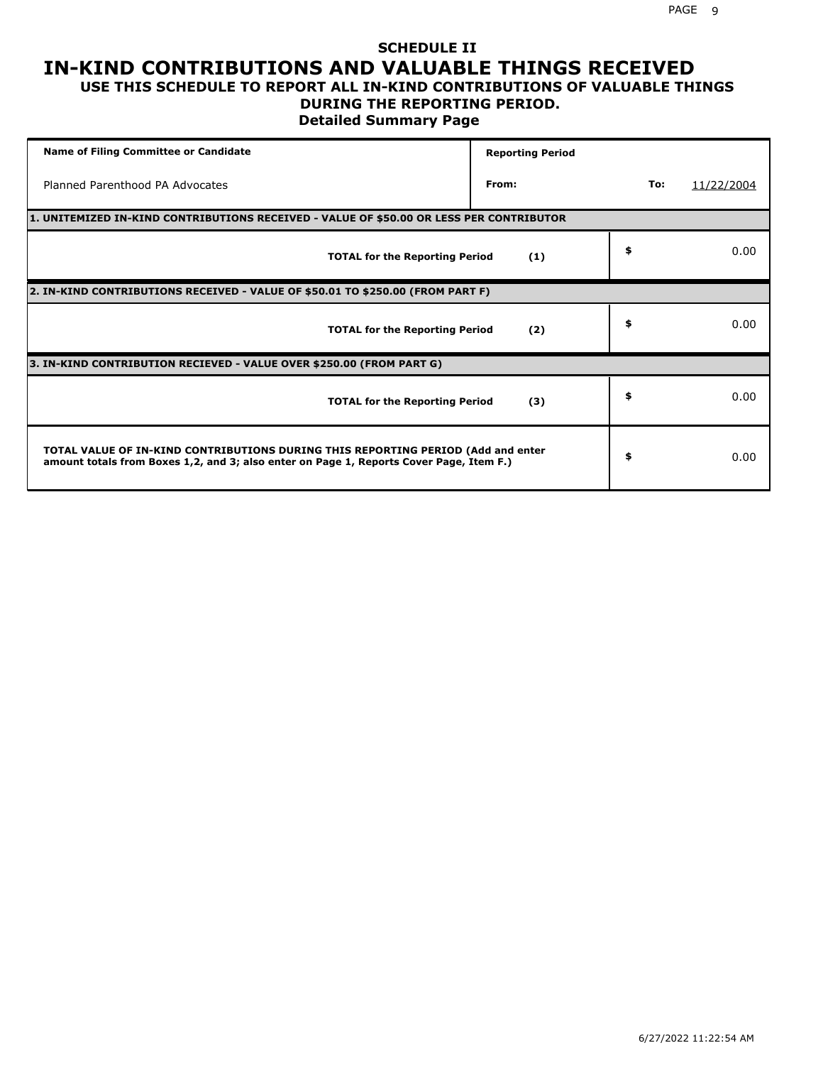#### **SCHEDULE II IN-KIND CONTRIBUTIONS AND VALUABLE THINGS RECEIVED USE THIS SCHEDULE TO REPORT ALL IN-KIND CONTRIBUTIONS OF VALUABLE THINGS**

#### **DURING THE REPORTING PERIOD.**

**Detailed Summary Page**

| <b>Name of Filing Committee or Candidate</b>                                                                                                                                | <b>Reporting Period</b> |     |            |
|-----------------------------------------------------------------------------------------------------------------------------------------------------------------------------|-------------------------|-----|------------|
| Planned Parenthood PA Advocates                                                                                                                                             | From:                   | To: | 11/22/2004 |
| 1. UNITEMIZED IN-KIND CONTRIBUTIONS RECEIVED - VALUE OF \$50.00 OR LESS PER CONTRIBUTOR                                                                                     |                         |     |            |
| <b>TOTAL for the Reporting Period</b>                                                                                                                                       | (1)                     | \$  | 0.00       |
| 2. IN-KIND CONTRIBUTIONS RECEIVED - VALUE OF \$50.01 TO \$250.00 (FROM PART F)                                                                                              |                         |     |            |
| <b>TOTAL for the Reporting Period</b>                                                                                                                                       | (2)                     | \$  | 0.00       |
| 3. IN-KIND CONTRIBUTION RECIEVED - VALUE OVER \$250.00 (FROM PART G)                                                                                                        |                         |     |            |
| <b>TOTAL for the Reporting Period</b>                                                                                                                                       | (3)                     | \$  | 0.00       |
| TOTAL VALUE OF IN-KIND CONTRIBUTIONS DURING THIS REPORTING PERIOD (Add and enter<br>amount totals from Boxes 1,2, and 3; also enter on Page 1, Reports Cover Page, Item F.) |                         | \$  | 0.00       |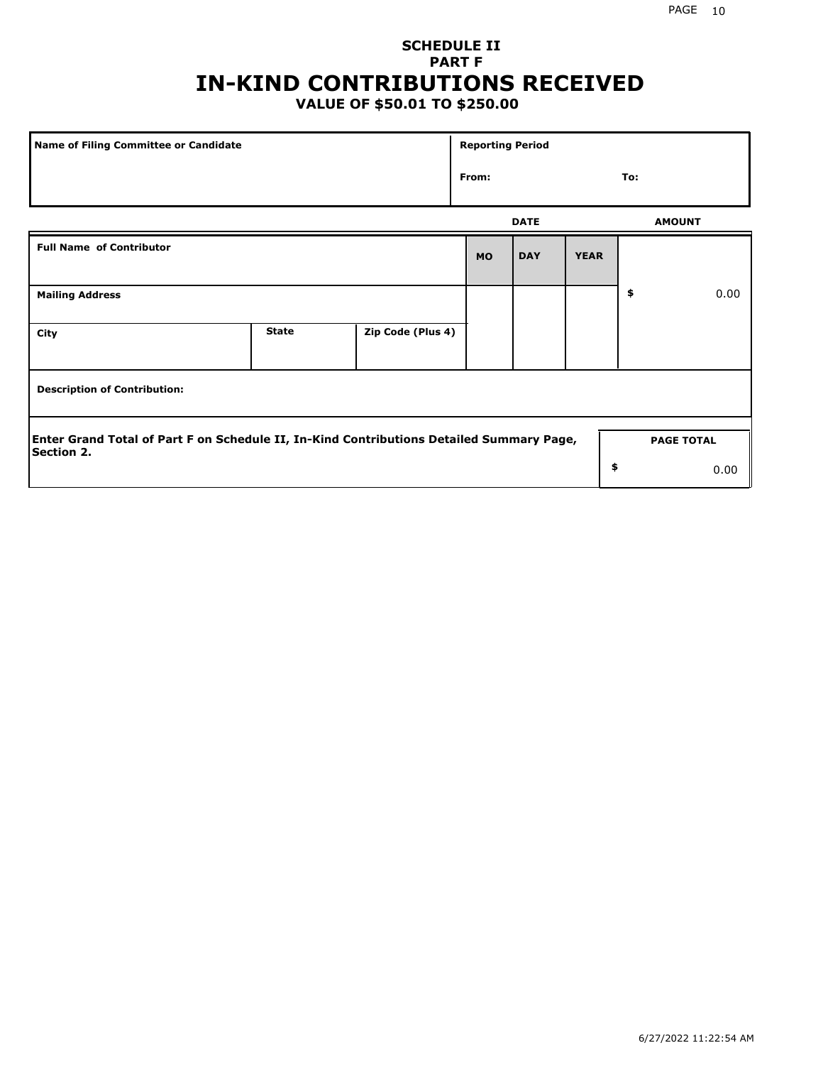# **SCHEDULE II PART F IN-KIND CONTRIBUTIONS RECEIVED**

## **VALUE OF \$50.01 TO \$250.00**

| <b>Name of Filing Committee or Candidate</b>                                                                  |              |                   | <b>Reporting Period</b> |                   |             |               |      |
|---------------------------------------------------------------------------------------------------------------|--------------|-------------------|-------------------------|-------------------|-------------|---------------|------|
|                                                                                                               |              |                   | From:                   |                   |             | To:           |      |
|                                                                                                               |              |                   |                         | <b>DATE</b>       |             | <b>AMOUNT</b> |      |
| <b>Full Name of Contributor</b>                                                                               |              |                   |                         | <b>DAY</b>        | <b>YEAR</b> |               |      |
| <b>Mailing Address</b>                                                                                        |              |                   |                         |                   |             | \$            | 0.00 |
| City                                                                                                          | <b>State</b> | Zip Code (Plus 4) |                         |                   |             |               |      |
| <b>Description of Contribution:</b>                                                                           |              |                   |                         |                   |             |               |      |
| Enter Grand Total of Part F on Schedule II, In-Kind Contributions Detailed Summary Page,<br><b>Section 2.</b> |              |                   |                         | <b>PAGE TOTAL</b> |             |               |      |
|                                                                                                               |              |                   |                         |                   | \$          |               | 0.00 |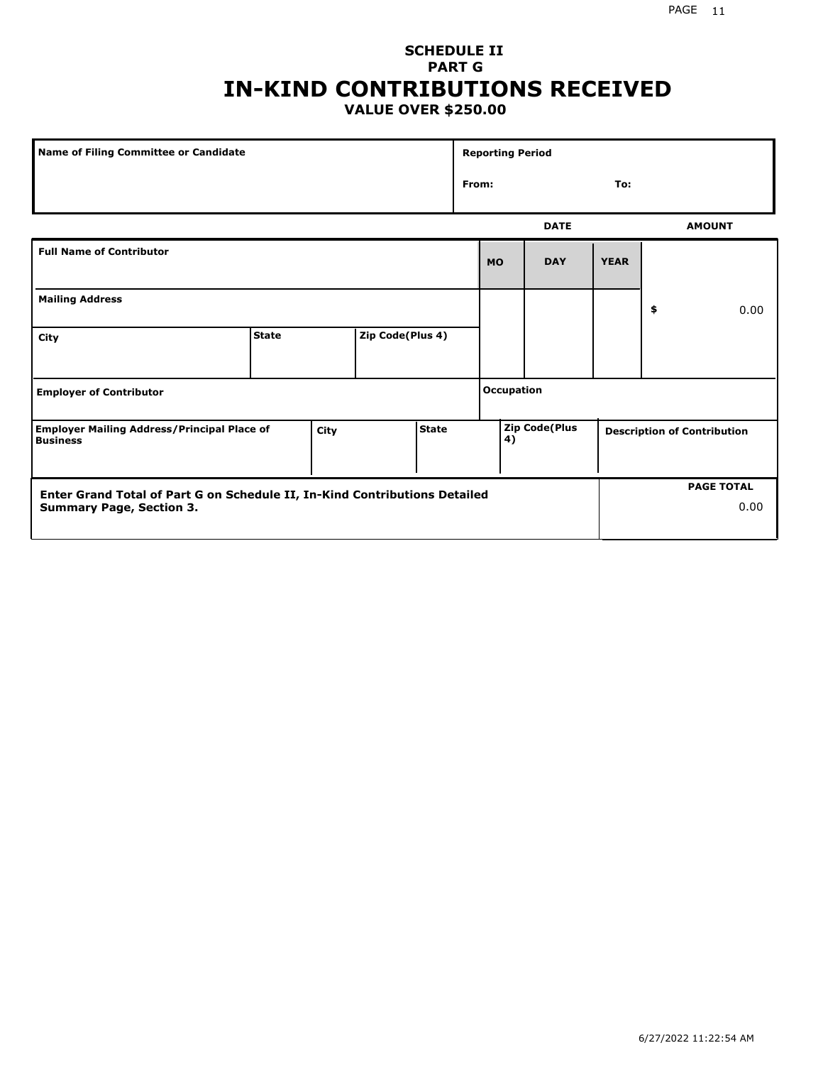#### PAGE 11

#### **SCHEDULE II PART G IN-KIND CONTRIBUTIONS RECEIVED VALUE OVER \$250.00**

| <b>Name of Filing Committee or Candidate</b>                                                                  |              |                  |  |  |            | <b>Reporting Period</b> |                           |             |                                    |               |  |
|---------------------------------------------------------------------------------------------------------------|--------------|------------------|--|--|------------|-------------------------|---------------------------|-------------|------------------------------------|---------------|--|
|                                                                                                               |              |                  |  |  | From:      |                         |                           | To:         |                                    |               |  |
|                                                                                                               |              |                  |  |  |            |                         | <b>DATE</b>               |             |                                    | <b>AMOUNT</b> |  |
| <b>Full Name of Contributor</b>                                                                               |              |                  |  |  |            | <b>MO</b>               | <b>DAY</b>                | <b>YEAR</b> |                                    |               |  |
| <b>Mailing Address</b>                                                                                        |              |                  |  |  |            |                         |                           | \$          | 0.00                               |               |  |
| City                                                                                                          | <b>State</b> | Zip Code(Plus 4) |  |  |            |                         |                           |             |                                    |               |  |
| <b>Employer of Contributor</b>                                                                                |              |                  |  |  | Occupation |                         |                           |             |                                    |               |  |
| <b>State</b><br><b>Employer Mailing Address/Principal Place of</b><br>City<br><b>Business</b>                 |              |                  |  |  | 4)         | <b>Zip Code(Plus</b>    |                           |             | <b>Description of Contribution</b> |               |  |
| Enter Grand Total of Part G on Schedule II, In-Kind Contributions Detailed<br><b>Summary Page, Section 3.</b> |              |                  |  |  |            |                         | <b>PAGE TOTAL</b><br>0.00 |             |                                    |               |  |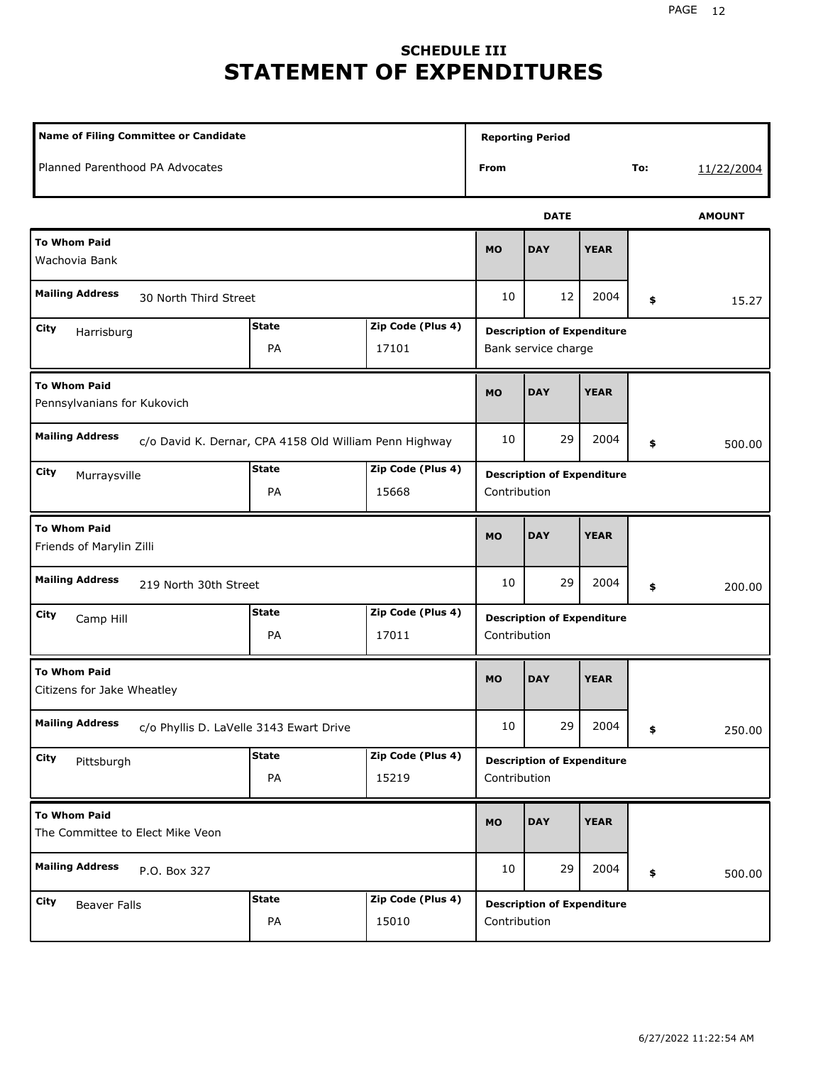# **SCHEDULE III STATEMENT OF EXPENDITURES**

| <b>Name of Filing Committee or Candidate</b>                                     |                                                  |                            |              | <b>Reporting Period</b>                                  |             |                                                   |               |  |  |  |
|----------------------------------------------------------------------------------|--------------------------------------------------|----------------------------|--------------|----------------------------------------------------------|-------------|---------------------------------------------------|---------------|--|--|--|
| Planned Parenthood PA Advocates                                                  |                                                  |                            | From         |                                                          |             | To:                                               | 11/22/2004    |  |  |  |
|                                                                                  |                                                  |                            |              | <b>DATE</b>                                              |             |                                                   | <b>AMOUNT</b> |  |  |  |
| <b>To Whom Paid</b><br>Wachovia Bank                                             |                                                  |                            | <b>MO</b>    | <b>DAY</b>                                               | <b>YEAR</b> |                                                   |               |  |  |  |
| <b>Mailing Address</b><br>30 North Third Street                                  |                                                  |                            | 10           | 12                                                       | 2004        | \$                                                | 15.27         |  |  |  |
| City<br>Harrisburg                                                               | <b>State</b><br>PA                               | Zip Code (Plus 4)<br>17101 |              | <b>Description of Expenditure</b><br>Bank service charge |             |                                                   |               |  |  |  |
| <b>To Whom Paid</b><br>Pennsylvanians for Kukovich                               | <b>MO</b>                                        | <b>DAY</b>                 | <b>YEAR</b>  |                                                          |             |                                                   |               |  |  |  |
| <b>Mailing Address</b><br>c/o David K. Dernar, CPA 4158 Old William Penn Highway | 10                                               | 29                         | 2004         | \$                                                       | 500.00      |                                                   |               |  |  |  |
| City<br>Murraysville                                                             | <b>State</b><br>Zip Code (Plus 4)<br>PA<br>15668 |                            |              |                                                          |             | <b>Description of Expenditure</b><br>Contribution |               |  |  |  |
| <b>To Whom Paid</b><br>Friends of Marylin Zilli                                  |                                                  |                            |              |                                                          | <b>YEAR</b> |                                                   |               |  |  |  |
| <b>Mailing Address</b><br>219 North 30th Street                                  |                                                  |                            | 10           | 29                                                       | 2004        | \$                                                | 200.00        |  |  |  |
| City<br>Camp Hill                                                                | <b>State</b><br>PA                               | Zip Code (Plus 4)<br>17011 | Contribution | <b>Description of Expenditure</b>                        |             |                                                   |               |  |  |  |
| <b>To Whom Paid</b><br>Citizens for Jake Wheatley                                |                                                  |                            | <b>MO</b>    | <b>DAY</b>                                               | <b>YEAR</b> |                                                   |               |  |  |  |
| <b>Mailing Address</b><br>c/o Phyllis D. LaVelle 3143 Ewart Drive                |                                                  |                            | $10\,$       | 29                                                       | 2004        | \$                                                | 250.00        |  |  |  |
| <b>City</b><br>Pittsburgh                                                        | <b>State</b><br>PA                               | Zip Code (Plus 4)<br>15219 | Contribution | <b>Description of Expenditure</b>                        |             |                                                   |               |  |  |  |
| <b>To Whom Paid</b><br>The Committee to Elect Mike Veon                          |                                                  |                            |              | <b>DAY</b>                                               | <b>YEAR</b> |                                                   |               |  |  |  |
| <b>Mailing Address</b><br>P.O. Box 327                                           |                                                  |                            |              | 29                                                       | 2004        | \$                                                | 500.00        |  |  |  |
| City<br><b>Beaver Falls</b>                                                      | <b>State</b><br>PA                               | Zip Code (Plus 4)<br>15010 |              | <b>Description of Expenditure</b><br>Contribution        |             |                                                   |               |  |  |  |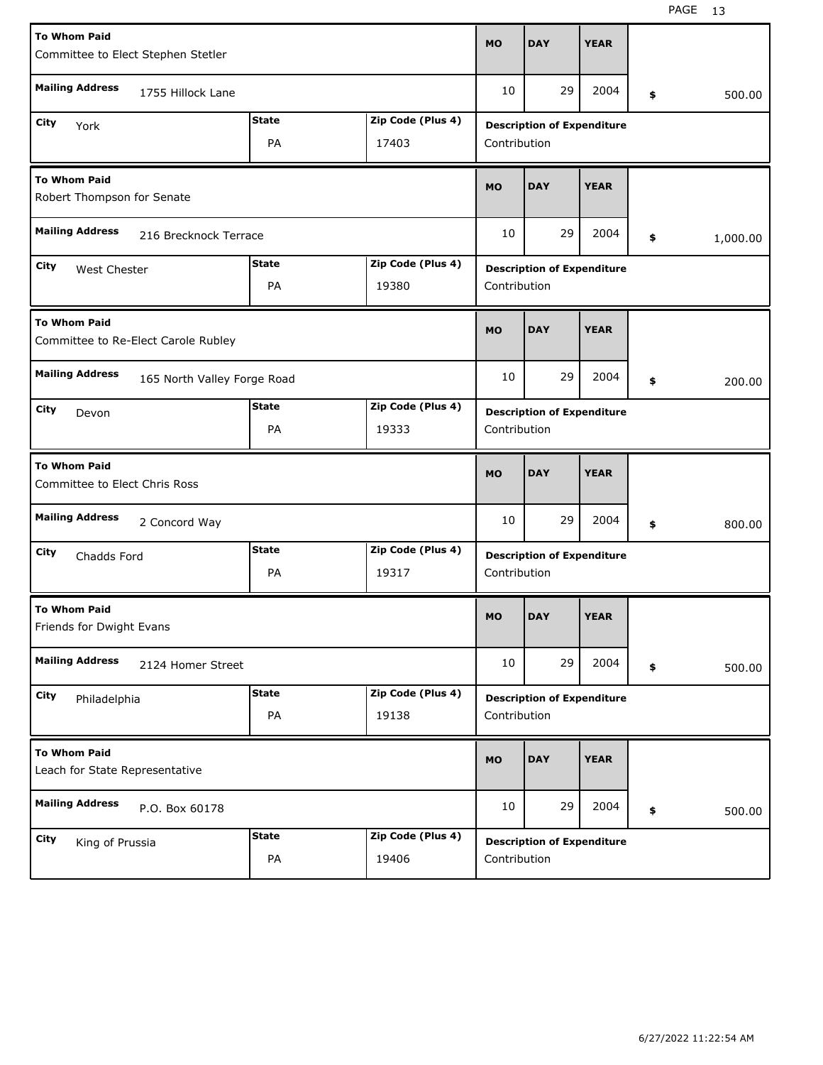| <b>To Whom Paid</b><br>Committee to Elect Stephen Stetler  |                    |                            | <b>MO</b>                                         | <b>DAY</b>                        | <b>YEAR</b> |    |          |  |
|------------------------------------------------------------|--------------------|----------------------------|---------------------------------------------------|-----------------------------------|-------------|----|----------|--|
| <b>Mailing Address</b><br>1755 Hillock Lane                |                    |                            |                                                   | 29                                | 2004        | \$ | 500.00   |  |
| City<br>York                                               | <b>State</b><br>PA | Zip Code (Plus 4)<br>17403 | <b>Description of Expenditure</b><br>Contribution |                                   |             |    |          |  |
| <b>To Whom Paid</b><br>Robert Thompson for Senate          |                    |                            |                                                   | <b>DAY</b>                        | <b>YEAR</b> |    |          |  |
| <b>Mailing Address</b><br>216 Brecknock Terrace            |                    |                            | 10                                                | 29                                | 2004        | \$ | 1,000.00 |  |
| City<br>West Chester                                       | <b>State</b><br>PA | Zip Code (Plus 4)<br>19380 | <b>Description of Expenditure</b><br>Contribution |                                   |             |    |          |  |
| <b>To Whom Paid</b><br>Committee to Re-Elect Carole Rubley |                    |                            | <b>MO</b>                                         | <b>DAY</b>                        | <b>YEAR</b> |    |          |  |
| <b>Mailing Address</b><br>165 North Valley Forge Road      |                    |                            | 10                                                | 29                                | 2004        | \$ | 200.00   |  |
| City<br>Devon                                              | <b>State</b><br>PA | Zip Code (Plus 4)<br>19333 | <b>Description of Expenditure</b><br>Contribution |                                   |             |    |          |  |
| <b>To Whom Paid</b><br>Committee to Elect Chris Ross       |                    |                            |                                                   |                                   |             |    |          |  |
|                                                            |                    |                            | <b>MO</b>                                         | <b>DAY</b>                        | <b>YEAR</b> |    |          |  |
| <b>Mailing Address</b><br>2 Concord Way                    |                    |                            | 10                                                | 29                                | 2004        | \$ | 800.00   |  |
| City<br>Chadds Ford                                        | <b>State</b><br>PA | Zip Code (Plus 4)<br>19317 | Contribution                                      | <b>Description of Expenditure</b> |             |    |          |  |
| <b>To Whom Paid</b><br>Friends for Dwight Evans            |                    |                            | <b>MO</b>                                         | <b>DAY</b>                        | <b>YEAR</b> |    |          |  |
| <b>Mailing Address</b><br>2124 Homer Street                |                    |                            | 10                                                | 29                                | 2004        | \$ | 500.00   |  |
| City<br>Philadelphia                                       | <b>State</b><br>PA | Zip Code (Plus 4)<br>19138 | Contribution                                      | <b>Description of Expenditure</b> |             |    |          |  |
| <b>To Whom Paid</b><br>Leach for State Representative      |                    |                            | <b>MO</b>                                         | <b>DAY</b>                        | <b>YEAR</b> |    |          |  |
| <b>Mailing Address</b><br>P.O. Box 60178                   |                    |                            | 10                                                | 29                                | 2004        | \$ | 500.00   |  |